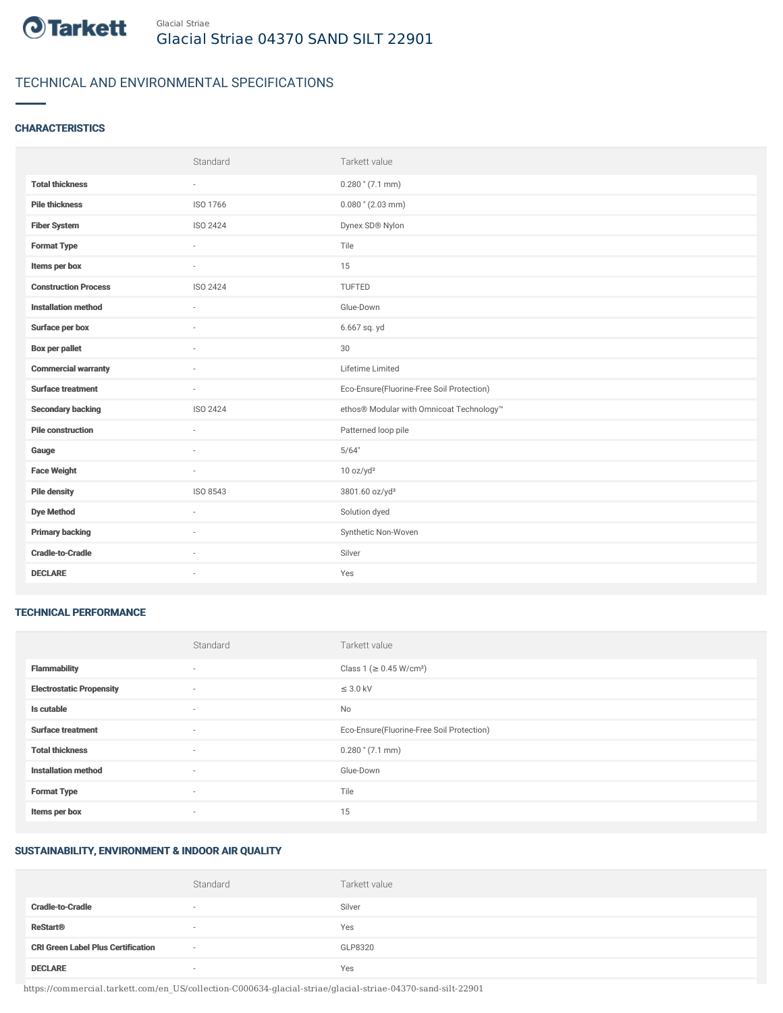

# TECHNICAL AND ENVIRONMENTAL SPECIFICATIONS

## **CHARACTERISTICS**

|                             | Standard | Tarkett value                             |
|-----------------------------|----------|-------------------------------------------|
| <b>Total thickness</b>      | $\sim$   | $0.280$ " (7.1 mm)                        |
| <b>Pile thickness</b>       | ISO 1766 | $0.080$ " (2.03 mm)                       |
| <b>Fiber System</b>         | ISO 2424 | Dynex SD® Nylon                           |
| <b>Format Type</b>          | ٠        | Tile                                      |
| Items per box               | $\sim$   | 15                                        |
| <b>Construction Process</b> | ISO 2424 | TUFTED                                    |
| <b>Installation method</b>  | $\sim$   | Glue-Down                                 |
| Surface per box             | ٠        | 6.667 sq. yd                              |
| <b>Box per pallet</b>       | ×.       | 30                                        |
| <b>Commercial warranty</b>  |          | Lifetime Limited                          |
| <b>Surface treatment</b>    | ×.       | Eco-Ensure(Fluorine-Free Soil Protection) |
| <b>Secondary backing</b>    | ISO 2424 | ethos® Modular with Omnicoat Technology™  |
| <b>Pile construction</b>    | $\sim$   | Patterned loop pile                       |
| Gauge                       |          | 5/64"                                     |
| <b>Face Weight</b>          | $\sim$   | 10 oz/yd <sup>2</sup>                     |
| <b>Pile density</b>         | ISO 8543 | 3801.60 oz/yd <sup>3</sup>                |
| <b>Dye Method</b>           | ×.       | Solution dyed                             |
| <b>Primary backing</b>      | ٠        | Synthetic Non-Woven                       |
| <b>Cradle-to-Cradle</b>     | ×.       | Silver                                    |
| <b>DECLARE</b>              | ٠        | Yes                                       |

#### TECHNICAL PERFORMANCE

|                                 | Standard                 | Tarkett value                             |
|---------------------------------|--------------------------|-------------------------------------------|
| <b>Flammability</b>             | $\overline{\phantom{a}}$ | Class 1 (≥ 0.45 W/cm <sup>2</sup> )       |
| <b>Electrostatic Propensity</b> | ٠                        | $\leq$ 3.0 kV                             |
| Is cutable                      | ٠                        | No                                        |
| <b>Surface treatment</b>        | $\sim$                   | Eco-Ensure(Fluorine-Free Soil Protection) |
| <b>Total thickness</b>          | ٠                        | $0.280$ " (7.1 mm)                        |
| <b>Installation method</b>      | $\sim$                   | Glue-Down                                 |
| <b>Format Type</b>              | $\sim$                   | Tile                                      |
| Items per box                   | ٠                        | 15                                        |

#### SUSTAINABILITY, ENVIRONMENT & INDOOR AIR QUALITY

|                                           | Standard                 | Tarkett value |
|-------------------------------------------|--------------------------|---------------|
| <b>Cradle-to-Cradle</b>                   | $\overline{\phantom{a}}$ | Silver        |
| <b>ReStart®</b>                           | $\sim$                   | Yes           |
| <b>CRI Green Label Plus Certification</b> | $\sim$                   | GLP8320       |
| <b>DECLARE</b>                            | $\overline{\phantom{a}}$ | Yes           |

https://commercial.tarkett.com/en\_US/collection-C000634-glacial-striae/glacial-striae-04370-sand-silt-22901